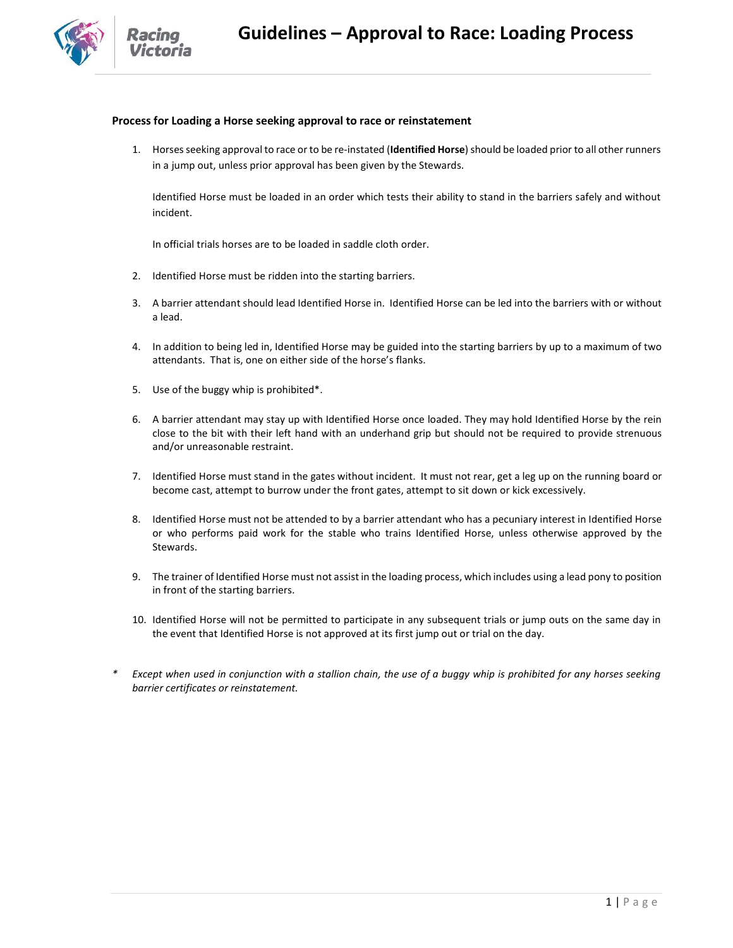

## Process for Loading a Horse seeking approval to race or reinstatement

1. Horses seeking approval to race or to be re-instated (Identified Horse) should be loaded prior to all other runners in a jump out, unless prior approval has been given by the Stewards.

Identified Horse must be loaded in an order which tests their ability to stand in the barriers safely and without incident.

In official trials horses are to be loaded in saddle cloth order.

- 2. Identified Horse must be ridden into the starting barriers.
- 3. A barrier attendant should lead Identified Horse in. Identified Horse can be led into the barriers with or without a lead.
- 4. In addition to being led in, Identified Horse may be guided into the starting barriers by up to a maximum of two attendants. That is, one on either side of the horse's flanks.
- 5. Use of the buggy whip is prohibited\*.
- 6. A barrier attendant may stay up with Identified Horse once loaded. They may hold Identified Horse by the rein close to the bit with their left hand with an underhand grip but should not be required to provide strenuous and/or unreasonable restraint.
- 7. Identified Horse must stand in the gates without incident. It must not rear, get a leg up on the running board or become cast, attempt to burrow under the front gates, attempt to sit down or kick excessively.
- 8. Identified Horse must not be attended to by a barrier attendant who has a pecuniary interest in Identified Horse or who performs paid work for the stable who trains Identified Horse, unless otherwise approved by the Stewards.
- 9. The trainer of Identified Horse must not assist in the loading process, which includes using a lead pony to position in front of the starting barriers.
- 10. Identified Horse will not be permitted to participate in any subsequent trials or jump outs on the same day in the event that Identified Horse is not approved at its first jump out or trial on the day.
- \* Except when used in conjunction with a stallion chain, the use of a buggy whip is prohibited for any horses seeking barrier certificates or reinstatement.